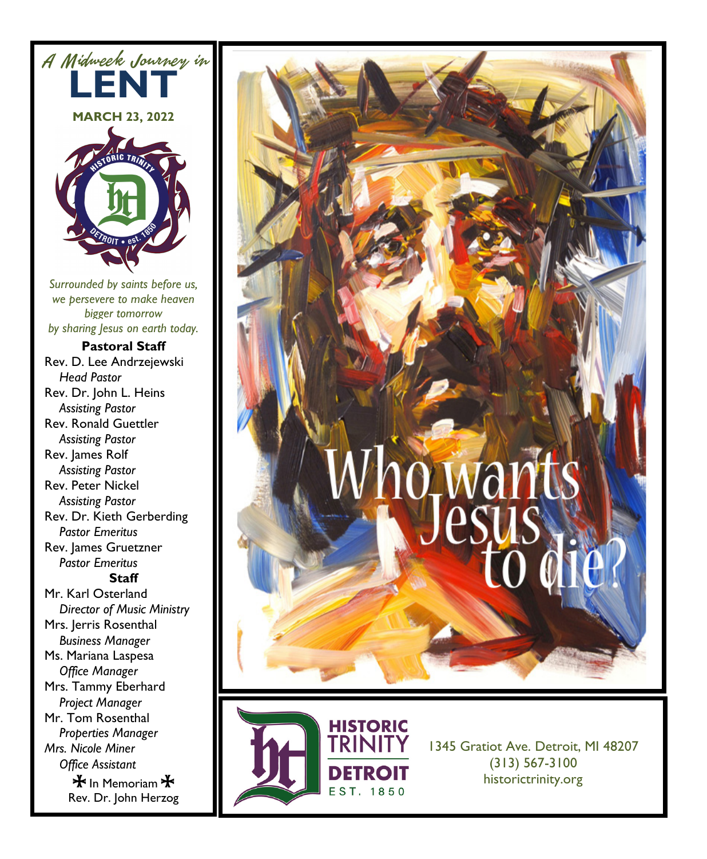



**HISTORIC**<br>TRINITY **DETROIT** EST. 1850

1345 Gratiot Ave. Detroit, MI 48207 (313) 567-3100 historictrinity.org

 $\bigstar$  In Memoriam  $\bigstar$ Rev. Dr. John Herzog

Mr. Tom Rosenthal *Properties Manager Mrs. Nicole Miner Office Assistant*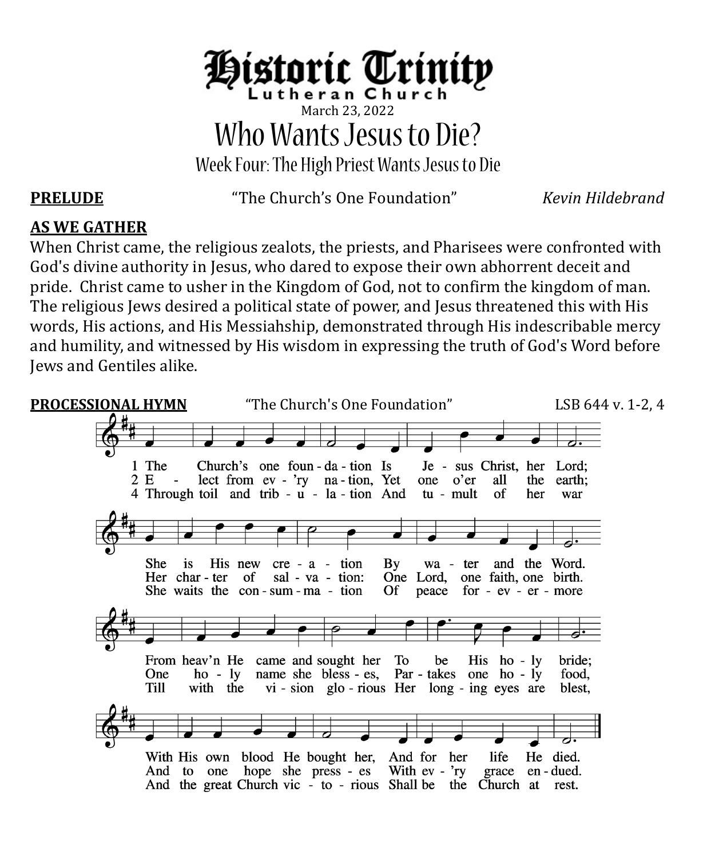

# March 23, 2022 Who Wants Jesus to Die?

Week Four:The High PriestWants Jesus to Die

**PRELUDE** "The Church's One Foundation" *Kevin Hildebrand*

# **AS WE GATHER**

When Christ came, the religious zealots, the priests, and Pharisees were confronted with God's divine authority in Jesus, who dared to expose their own abhorrent deceit and pride. Christ came to usher in the Kingdom of God, not to confirm the kingdom of man. The religious Jews desired a political state of power, and Jesus threatened this with His words, His actions, and His Messiahship, demonstrated through His indescribable mercy and humility, and witnessed by His wisdom in expressing the truth of God's Word before Jews and Gentiles alike.

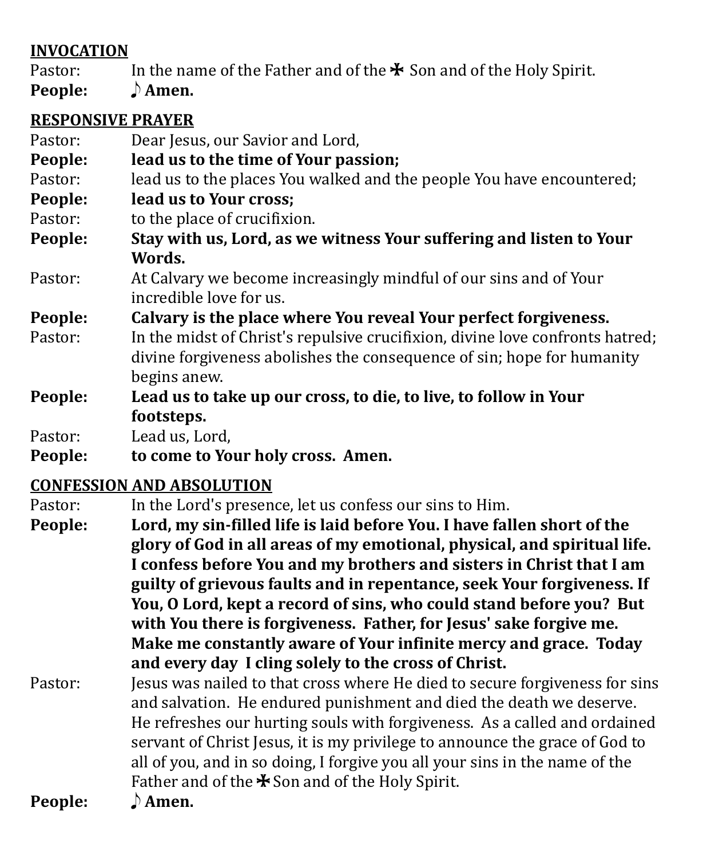### **INVOCATION**

- Pastor: In the name of the Father and of the  $\ast$  Son and of the Holy Spirit.<br>**People:**  $\qquad \bullet$  **Amen.**
- **P** Amen.

# **RESPONSIVE PRAYER**

| Pastor:            | Dear Jesus, our Savior and Lord,                                                                                                                                                             |
|--------------------|----------------------------------------------------------------------------------------------------------------------------------------------------------------------------------------------|
| People:            | lead us to the time of Your passion;                                                                                                                                                         |
| Pastor:            | lead us to the places You walked and the people You have encountered;                                                                                                                        |
| People:            | lead us to Your cross;                                                                                                                                                                       |
| Pastor:            | to the place of crucifixion.                                                                                                                                                                 |
| People:            | Stay with us, Lord, as we witness Your suffering and listen to Your                                                                                                                          |
|                    | Words.                                                                                                                                                                                       |
| Pastor:            | At Calvary we become increasingly mindful of our sins and of Your                                                                                                                            |
|                    |                                                                                                                                                                                              |
| Pastor:            | In the midst of Christ's repulsive crucifixion, divine love confronts hatred;<br>divine forgiveness abolishes the consequence of sin; hope for humanity                                      |
|                    |                                                                                                                                                                                              |
|                    |                                                                                                                                                                                              |
| People:<br>People: | incredible love for us.<br>Calvary is the place where You reveal Your perfect forgiveness.<br>begins anew.<br>Lead us to take up our cross, to die, to live, to follow in Your<br>footsteps. |

Pastor: Lead us, Lord,<br>**People: to come to Yo People: to come to Your holy cross. Amen.**

# **CONFESSION AND ABSOLUTION**

Pastor: In the Lord's presence, let us confess our sins to Him.<br>**People:** Lord, my sin-filled life is laid before You. I have fall

Lord, my sin-filled life is laid before You. I have fallen short of the **glory of God in all areas of my emotional, physical, and spiritual life. I confess before You and my brothers and sisters in Christ that I am guilty of grievous faults and in repentance, seek Your forgiveness. If You, O Lord, kept a record of sins, who could stand before you? But with You there is forgiveness. Father, for Jesus' sake forgive me. Make me constantly aware of Your infinite mercy and grace. Today and every day I cling solely to the cross of Christ.** 

Pastor: Jesus was nailed to that cross where He died to secure forgiveness for sins and salvation. He endured punishment and died the death we deserve. He refreshes our hurting souls with forgiveness. As a called and ordained servant of Christ Jesus, it is my privilege to announce the grace of God to all of you, and in so doing, I forgive you all your sins in the name of the Father and of the  $\clubsuit$  Son and of the Holy Spirit.<br> $\Lambda$  **Amen. People:**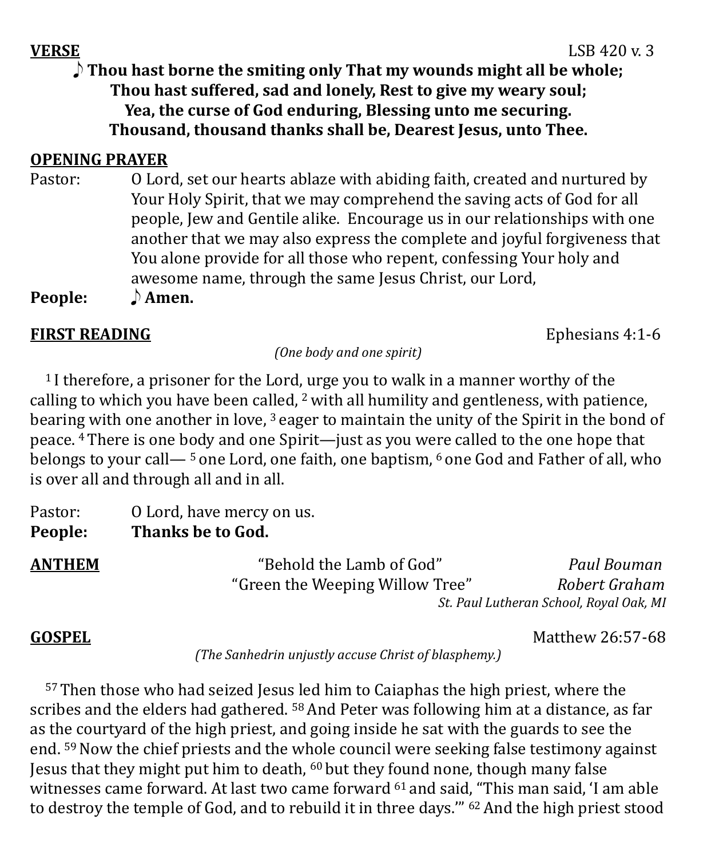**VERSE** LSB 420 v. 3 E **Thou hast borne the smiting only That my wounds might all be whole; Thou hast suffered, sad and lonely, Rest to give my weary soul; Yea, the curse of God enduring, Blessing unto me securing. Thousand, thousand thanks shall be, Dearest Jesus, unto Thee.**

### **OPENING PRAYER**

Pastor: O Lord, set our hearts ablaze with abiding faith, created and nurtured by Your Holy Spirit, that we may comprehend the saving acts of God for all people, Jew and Gentile alike. Encourage us in our relationships with one another that we may also express the complete and joyful forgiveness that You alone provide for all those who repent, confessing Your holy and awesome name, through the same Jesus Christ, our Lord,

**People:**  $\qquad$  **Amen.** 

### **FIRST READING** Ephesians 4:1-6

*(One body and one spirit)*

<sup>1</sup> I therefore, a prisoner for the Lord, urge you to walk in a manner worthy of the calling to which you have been called,  $2$  with all humility and gentleness, with patience, bearing with one another in love, <sup>3</sup> eager to maintain the unity of the Spirit in the bond of peace. 4There is one body and one Spirit—just as you were called to the one hope that belongs to your call—<sup>5</sup> one Lord, one faith, one baptism, <sup>6</sup> one God and Father of all, who is over all and through all and in all.

| Pastor: | O Lord, have mercy on us. |
|---------|---------------------------|
| People: | Thanks be to God.         |
|         |                           |

**ANTHEM** "Behold the Lamb of God" *Paul Bouman*  "Green the Weeping Willow Tree"

*St. Paul Lutheran School, Royal Oak, MI*

**GOSPEL** Matthew 26:57-68

*(The Sanhedrin unjustly accuse Christ of blasphemy.)*

 57Then those who had seized Jesus led him to Caiaphas the high priest, where the scribes and the elders had gathered. <sup>58</sup> And Peter was following him at a distance, as far as the courtyard of the high priest, and going inside he sat with the guards to see the end. <sup>59</sup> Now the chief priests and the whole council were seeking false testimony against Jesus that they might put him to death, <sup>60</sup> but they found none, though many false witnesses came forward. At last two came forward <sup>61</sup> and said, "This man said, 'I am able to destroy the temple of God, and to rebuild it in three days." <sup>62</sup> And the high priest stood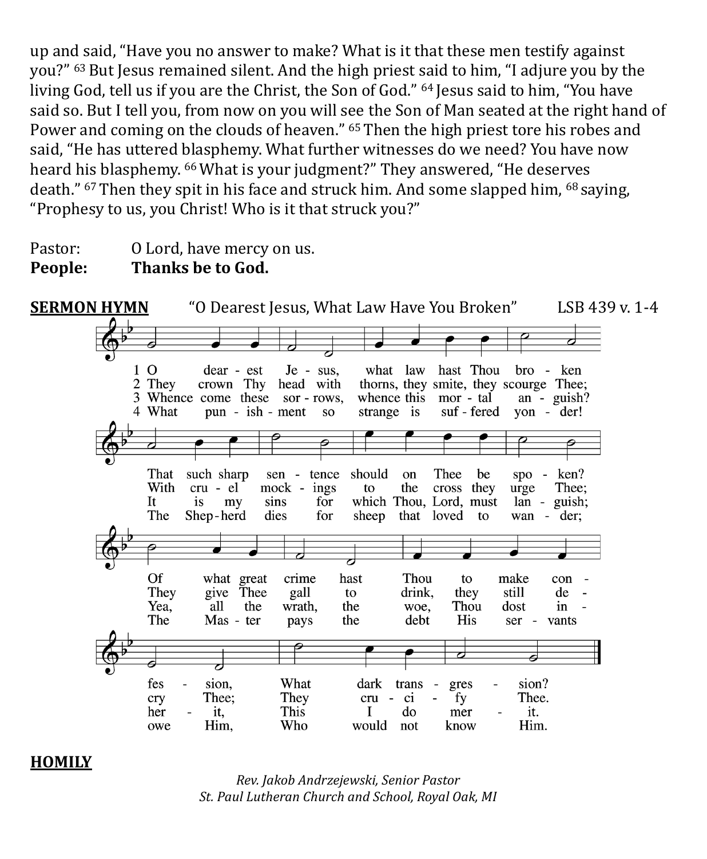up and said, "Have you no answer to make? What is it that these men testify against you?" <sup>63</sup> But Jesus remained silent. And the high priest said to him, "I adjure you by the living God, tell us if you are the Christ, the Son of God." <sup>64</sup> Jesus said to him, "You have said so. But I tell you, from now on you will see the Son of Man seated at the right hand of Power and coming on the clouds of heaven." <sup>65</sup> Then the high priest tore his robes and said, "He has uttered blasphemy. What further witnesses do we need? You have now heard his blasphemy. 66What is your judgment?" They answered, "He deserves death." <sup>67</sup> Then they spit in his face and struck him. And some slapped him, <sup>68</sup> saying, "Prophesy to us, you Christ! Who is it that struck you?"

Pastor: 0 Lord, have mercy on us.<br>**People:** Thanks be to God. **Thanks be to God.** 



**HOMILY**

*Rev. Jakob Andrzejewski, Senior Pastor St. Paul Lutheran Church and School, Royal Oak, MI*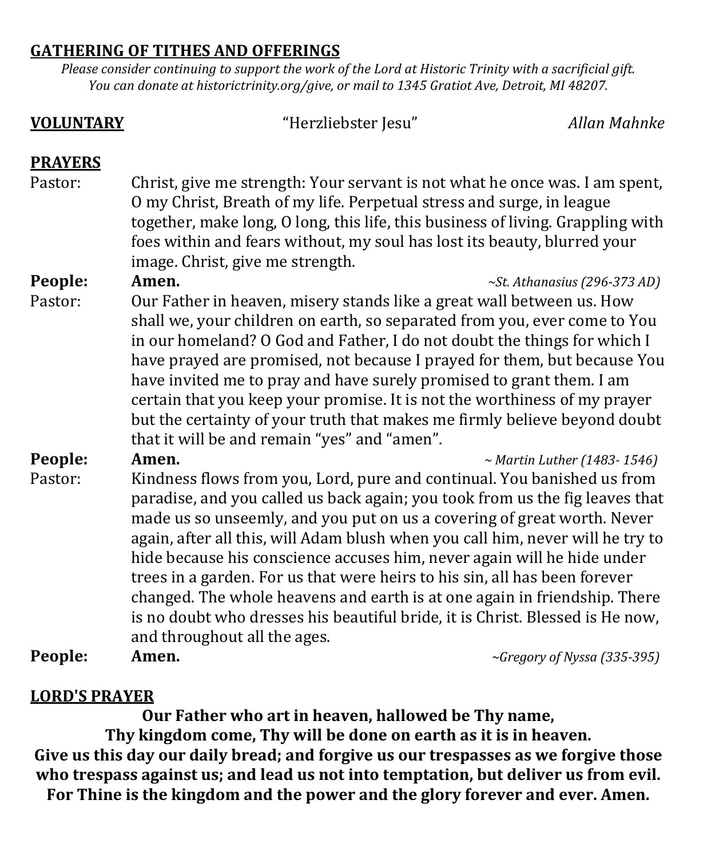### **GATHERING OF TITHES AND OFFERINGS**

*Please consider continuing to support the work of the Lord at Historic Trinity with a sacrificial gift. You can donate at historictrinity.org/give, or mail to 1345 Gratiot Ave, Detroit, MI 48207.*

## **VOLUNTARY** "Herzliebster Jesu" *Allan Mahnke* **PRAYERS** Pastor: Christ, give me strength: Your servant is not what he once was. I am spent, O my Christ, Breath of my life. Perpetual stress and surge, in league together, make long, O long, this life, this business of living. Grappling with foes within and fears without, my soul has lost its beauty, blurred your image. Christ, give me strength.<br>Amen. **People: Amen.** *~St. Athanasius (296-373 AD)* Pastor: Our Father in heaven, misery stands like a great wall between us. How shall we, your children on earth, so separated from you, ever come to You in our homeland? O God and Father, I do not doubt the things for which I have prayed are promised, not because I prayed for them, but because You have invited me to pray and have surely promised to grant them. I am certain that you keep your promise. It is not the worthiness of my prayer but the certainty of your truth that makes me firmly believe beyond doubt that it will be and remain "yes" and "amen". **People: Amen.** *~ Martin Luther (1483- 1546)* Pastor: Kindness flows from you, Lord, pure and continual. You banished us from paradise, and you called us back again; you took from us the fig leaves that made us so unseemly, and you put on us a covering of great worth. Never again, after all this, will Adam blush when you call him, never will he try to hide because his conscience accuses him, never again will he hide under trees in a garden. For us that were heirs to his sin, all has been forever changed. The whole heavens and earth is at one again in friendship. There is no doubt who dresses his beautiful bride, it is Christ. Blessed is He now, and throughout all the ages.<br>**Amen**. **People: Amen.** *~Gregory of Nyssa (335-395)*

### **LORD'S PRAYER**

**Our Father who art in heaven, hallowed be Thy name,** 

**Thy kingdom come, Thy will be done on earth as it is in heaven. Give us this day our daily bread; and forgive us our trespasses as we forgive those who trespass against us; and lead us not into temptation, but deliver us from evil. For Thine is the kingdom and the power and the glory forever and ever. Amen.**